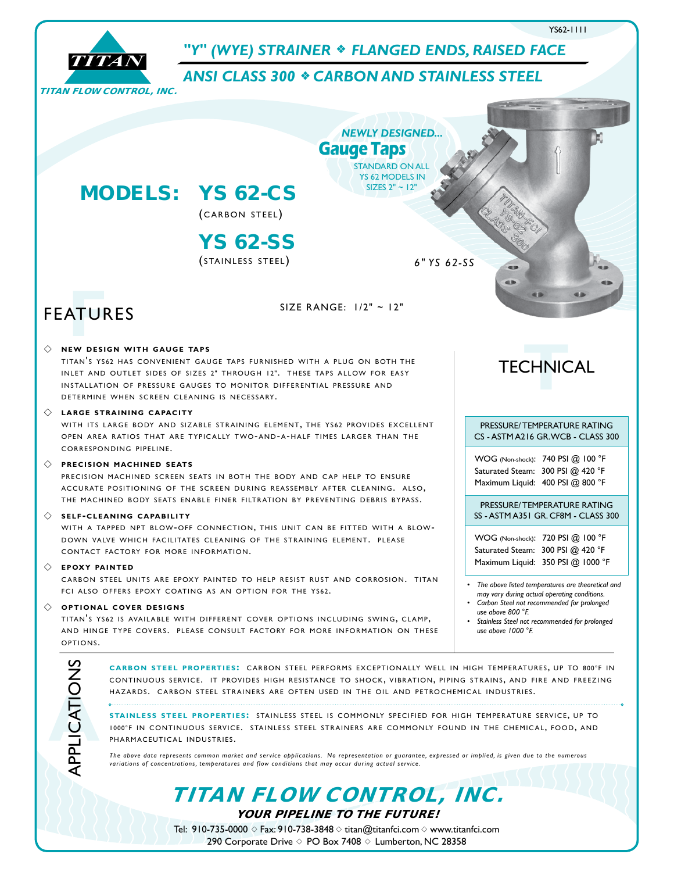

Tel: 910-735-0000  $\diamond$  Fax: 910-738-3848  $\diamond$  titan@titanfci.com  $\diamond$  www.titanfci.com 290 Corporate Drive  $\diamond$  PO Box 7408  $\diamond$  Lumberton, NC 28358